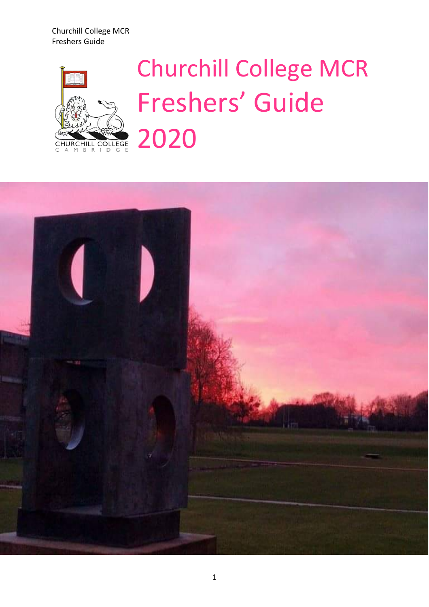Churchill College MCR Freshers Guide



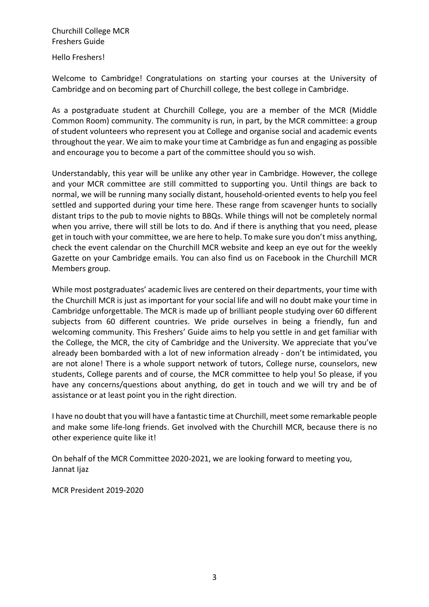Hello Freshers!

Welcome to Cambridge! Congratulations on starting your courses at the University of Cambridge and on becoming part of Churchill college, the best college in Cambridge.

As a postgraduate student at Churchill College, you are a member of the MCR (Middle Common Room) community. The community is run, in part, by the MCR committee: a group of student volunteers who represent you at College and organise social and academic events throughout the year. We aim to make your time at Cambridge as fun and engaging as possible and encourage you to become a part of the committee should you so wish.

Understandably, this year will be unlike any other year in Cambridge. However, the college and your MCR committee are still committed to supporting you. Until things are back to normal, we will be running many socially distant, household-oriented events to help you feel settled and supported during your time here. These range from scavenger hunts to socially distant trips to the pub to movie nights to BBQs. While things will not be completely normal when you arrive, there will still be lots to do. And if there is anything that you need, please get in touch with your committee, we are here to help. To make sure you don't miss anything, check the event calendar on the Churchill MCR website and keep an eye out for the weekly Gazette on your Cambridge emails. You can also find us on Facebook in the Churchill MCR Members group.

While most postgraduates' academic lives are centered on their departments, your time with the Churchill MCR is just as important for your social life and will no doubt make your time in Cambridge unforgettable. The MCR is made up of brilliant people studying over 60 different subjects from 60 different countries. We pride ourselves in being a friendly, fun and welcoming community. This Freshers' Guide aims to help you settle in and get familiar with the College, the MCR, the city of Cambridge and the University. We appreciate that you've already been bombarded with a lot of new information already - don't be intimidated, you are not alone! There is a whole support network of tutors, College nurse, counselors, new students, College parents and of course, the MCR committee to help you! So please, if you have any concerns/questions about anything, do get in touch and we will try and be of assistance or at least point you in the right direction.

I have no doubt that you will have a fantastic time at Churchill, meet some remarkable people and make some life-long friends. Get involved with the Churchill MCR, because there is no other experience quite like it!

On behalf of the MCR Committee 2020-2021, we are looking forward to meeting you, Jannat Ijaz

MCR President 2019-2020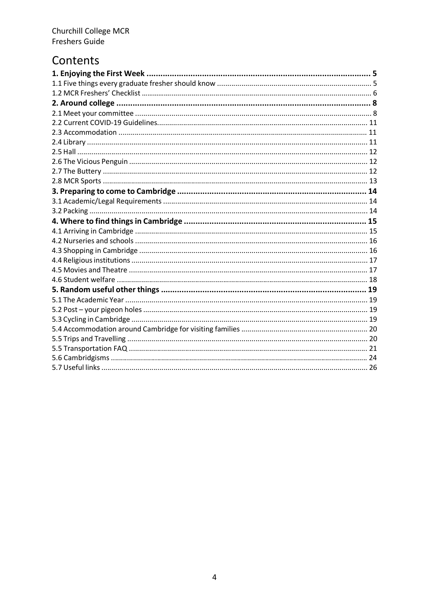### Contents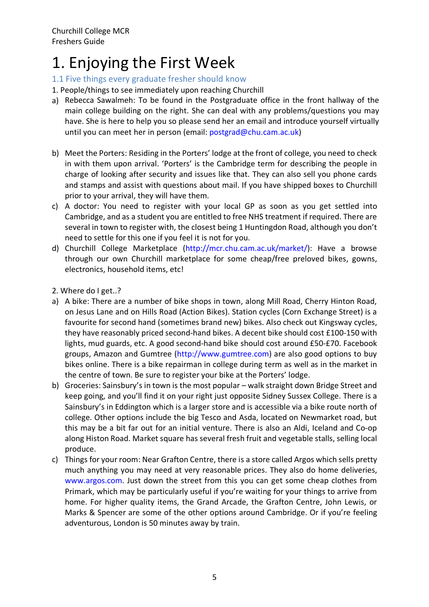### 1. Enjoying the First Week

#### 1.1 Five things every graduate fresher should know

- 1. People/things to see immediately upon reaching Churchill
- a) Rebecca Sawalmeh: To be found in the Postgraduate office in the front hallway of the main college building on the right. She can deal with any problems/questions you may have. She is here to help you so please send her an email and introduce yourself virtually until you can meet her in person (email: postgrad@chu.cam.ac.uk)
- b) Meet the Porters: Residing in the Porters' lodge at the front of college, you need to check in with them upon arrival. 'Porters' is the Cambridge term for describing the people in charge of looking after security and issues like that. They can also sell you phone cards and stamps and assist with questions about mail. If you have shipped boxes to Churchill prior to your arrival, they will have them.
- c) A doctor: You need to register with your local GP as soon as you get settled into Cambridge, and as a student you are entitled to free NHS treatment if required. There are several in town to register with, the closest being 1 Huntingdon Road, although you don't need to settle for this one if you feel it is not for you.
- d) Churchill College Marketplace (http://mcr.chu.cam.ac.uk/market/): Have a browse through our own Churchill marketplace for some cheap/free preloved bikes, gowns, electronics, household items, etc!
- 2. Where do I get..?
- a) A bike: There are a number of bike shops in town, along Mill Road, Cherry Hinton Road, on Jesus Lane and on Hills Road (Action Bikes). Station cycles (Corn Exchange Street) is a favourite for second hand (sometimes brand new) bikes. Also check out Kingsway cycles, they have reasonably priced second-hand bikes. A decent bike should cost £100-150 with lights, mud guards, etc. A good second-hand bike should cost around £50-£70. Facebook groups, Amazon and Gumtree (http://www.gumtree.com) are also good options to buy bikes online. There is a bike repairman in college during term as well as in the market in the centre of town. Be sure to register your bike at the Porters' lodge.
- b) Groceries: Sainsbury's in town is the most popular walk straight down Bridge Street and keep going, and you'll find it on your right just opposite Sidney Sussex College. There is a Sainsbury's in Eddington which is a larger store and is accessible via a bike route north of college. Other options include the big Tesco and Asda, located on Newmarket road, but this may be a bit far out for an initial venture. There is also an Aldi, Iceland and Co-op along Histon Road. Market square has several fresh fruit and vegetable stalls, selling local produce.
- c) Things for your room: Near Grafton Centre, there is a store called Argos which sells pretty much anything you may need at very reasonable prices. They also do home deliveries, www.argos.com. Just down the street from this you can get some cheap clothes from Primark, which may be particularly useful if you're waiting for your things to arrive from home. For higher quality items, the Grand Arcade, the Grafton Centre, John Lewis, or Marks & Spencer are some of the other options around Cambridge. Or if you're feeling adventurous, London is 50 minutes away by train.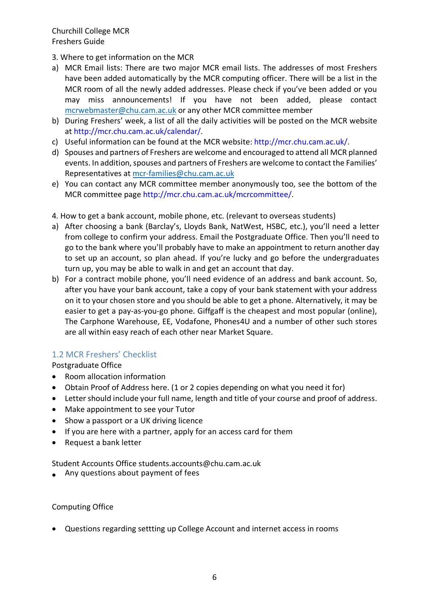- 3. Where to get information on the MCR
- a) MCR Email lists: There are two major MCR email lists. The addresses of most Freshers have been added automatically by the MCR computing officer. There will be a list in the MCR room of all the newly added addresses. Please check if you've been added or you may miss announcements! If you have not been added, please contact mcrwebmaster@chu.cam.ac.uk or any other MCR committee member
- b) During Freshers' week, a list of all the daily activities will be posted on the MCR website at http://mcr.chu.cam.ac.uk/calendar/.
- c) Useful information can be found at the MCR website: http://mcr.chu.cam.ac.uk/.
- d) Spouses and partners of Freshers are welcome and encouraged to attend all MCR planned events. In addition, spouses and partners of Freshers are welcome to contact the Families' Representatives at mcr-families@chu.cam.ac.uk
- e) You can contact any MCR committee member anonymously too, see the bottom of the MCR committee page http://mcr.chu.cam.ac.uk/mcrcommittee/.
- 4. How to get a bank account, mobile phone, etc. (relevant to overseas students)
- a) After choosing a bank (Barclay's, Lloyds Bank, NatWest, HSBC, etc.), you'll need a letter from college to confirm your address. Email the Postgraduate Office. Then you'll need to go to the bank where you'll probably have to make an appointment to return another day to set up an account, so plan ahead. If you're lucky and go before the undergraduates turn up, you may be able to walk in and get an account that day.
- b) For a contract mobile phone, you'll need evidence of an address and bank account. So, after you have your bank account, take a copy of your bank statement with your address on it to your chosen store and you should be able to get a phone. Alternatively, it may be easier to get a pay-as-you-go phone. Giffgaff is the cheapest and most popular (online), The Carphone Warehouse, EE, Vodafone, Phones4U and a number of other such stores are all within easy reach of each other near Market Square.

#### 1.2 MCR Freshers' Checklist

Postgraduate Office

- Room allocation information
- Obtain Proof of Address here. (1 or 2 copies depending on what you need it for)
- Letter should include your full name, length and title of your course and proof of address.
- Make appointment to see your Tutor
- Show a passport or a UK driving licence
- If you are here with a partner, apply for an access card for them
- Request a bank letter

Student Accounts Office students.accounts@chu.cam.ac.uk

• Any questions about payment of fees

#### Computing Office

• Questions regarding settting up College Account and internet access in rooms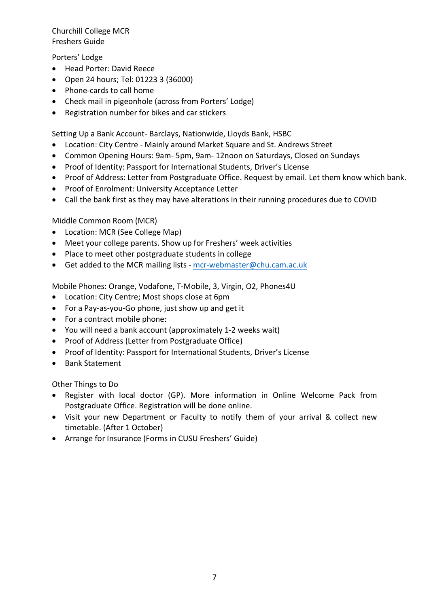Porters' Lodge

- Head Porter: David Reece
- Open 24 hours; Tel: 01223 3 (36000)
- Phone-cards to call home
- Check mail in pigeonhole (across from Porters' Lodge)
- Registration number for bikes and car stickers

Setting Up a Bank Account- Barclays, Nationwide, Lloyds Bank, HSBC

- Location: City Centre Mainly around Market Square and St. Andrews Street
- Common Opening Hours: 9am- 5pm, 9am- 12noon on Saturdays, Closed on Sundays
- Proof of Identity: Passport for International Students, Driver's License
- Proof of Address: Letter from Postgraduate Office. Request by email. Let them know which bank.
- Proof of Enrolment: University Acceptance Letter
- Call the bank first as they may have alterations in their running procedures due to COVID

Middle Common Room (MCR)

- Location: MCR (See College Map)
- Meet your college parents. Show up for Freshers' week activities
- Place to meet other postgraduate students in college
- Get added to the MCR mailing lists mcr-webmaster@chu.cam.ac.uk

Mobile Phones: Orange, Vodafone, T-Mobile, 3, Virgin, O2, Phones4U

- Location: City Centre; Most shops close at 6pm
- For a Pay-as-you-Go phone, just show up and get it
- For a contract mobile phone:
- You will need a bank account (approximately 1-2 weeks wait)
- Proof of Address (Letter from Postgraduate Office)
- Proof of Identity: Passport for International Students, Driver's License
- Bank Statement

Other Things to Do

- Register with local doctor (GP). More information in Online Welcome Pack from Postgraduate Office. Registration will be done online.
- Visit your new Department or Faculty to notify them of your arrival & collect new timetable. (After 1 October)
- Arrange for Insurance (Forms in CUSU Freshers' Guide)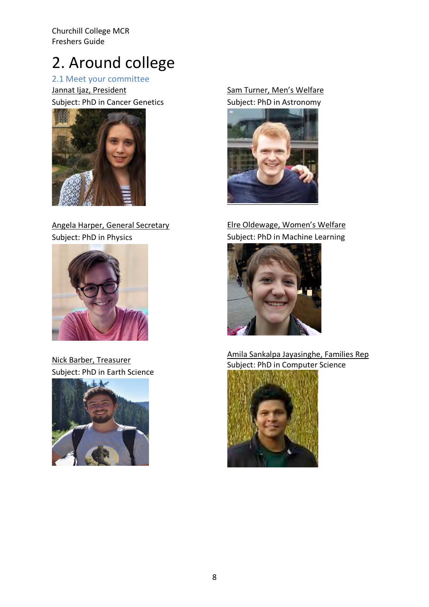## 2. Around college

2.1 Meet your committee

Jannat Ijaz, President Subject: PhD in Cancer Genetics



Angela Harper, General Secretary Subject: PhD in Physics



Nick Barber, Treasurer Subject: PhD in Earth Science



Sam Turner, Men's Welfare Subject: PhD in Astronomy



Elre Oldewage, Women's Welfare Subject: PhD in Machine Learning



Amila Sankalpa Jayasinghe, Families Rep Subject: PhD in Computer Science

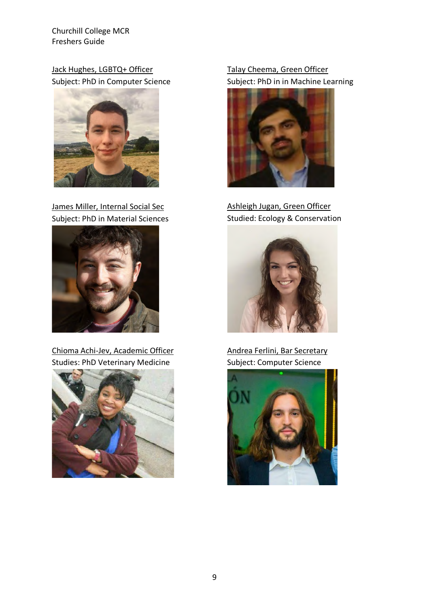Jack Hughes, LGBTQ+ Officer Subject: PhD in Computer Science



James Miller, Internal Social Sec Subject: PhD in Material Sciences



Chioma Achi-Jev, Academic Officer Studies: PhD Veterinary Medicine



#### Talay Cheema, Green Officer Subject: PhD in in Machine Learning



Ashleigh Jugan, Green Officer Studied: Ecology & Conservation



Andrea Ferlini, Bar Secretary Subject: Computer Science

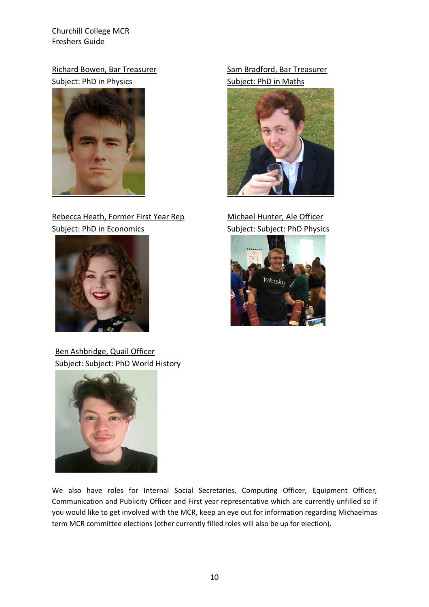Richard Bowen, Bar Treasurer Subject: PhD in Physics



#### Rebecca Heath, Former First Year Rep Subject: PhD in Economics



Ben Ashbridge, Quail Officer Subject: Subject: PhD World History



We also have roles for Internal Social Secretaries, Computing Officer, Equipment Officer, Communication and Publicity Officer and First year representative which are currently unfilled so if you would like to get involved with the MCR, keep an eye out for information regarding Michaelmas term MCR committee elections (other currently filled roles will also be up for election).

#### Sam Bradford, Bar Treasurer Subject: PhD in Maths



Michael Hunter, Ale Officer Subject: Subject: PhD Physics

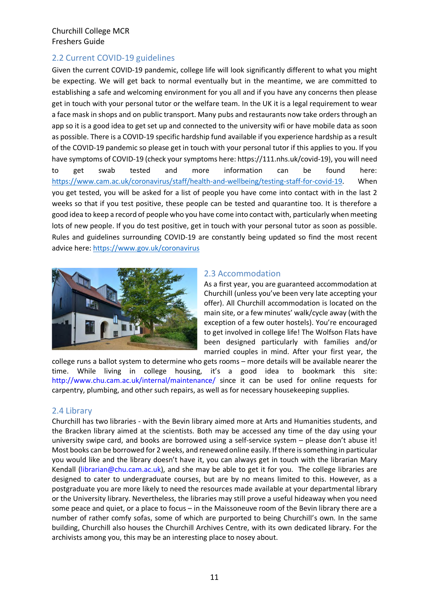#### 2.2 Current COVID-19 guidelines

Given the current COVID-19 pandemic, college life will look significantly different to what you might be expecting. We will get back to normal eventually but in the meantime, we are committed to establishing a safe and welcoming environment for you all and if you have any concerns then please get in touch with your personal tutor or the welfare team. In the UK it is a legal requirement to wear a face mask in shops and on public transport. Many pubs and restaurants now take orders through an app so it is a good idea to get set up and connected to the university wifi or have mobile data as soon as possible. There is a COVID-19 specific hardship fund available if you experience hardship as a result of the COVID-19 pandemic so please get in touch with your personal tutor if this applies to you. If you have symptoms of COVID-19 (check your symptoms here: https://111.nhs.uk/covid-19), you will need to get swab tested and more information can be found here: https://www.cam.ac.uk/coronavirus/staff/health-and-wellbeing/testing-staff-for-covid-19. When you get tested, you will be asked for a list of people you have come into contact with in the last 2 weeks so that if you test positive, these people can be tested and quarantine too. It is therefore a good idea to keep a record of people who you have come into contact with, particularly when meeting lots of new people. If you do test positive, get in touch with your personal tutor as soon as possible. Rules and guidelines surrounding COVID-19 are constantly being updated so find the most recent advice here: https://www.gov.uk/coronavirus



#### 2.3 Accommodation

As a first year, you are guaranteed accommodation at Churchill (unless you've been very late accepting your offer). All Churchill accommodation is located on the main site, or a few minutes' walk/cycle away (with the exception of a few outer hostels). You're encouraged to get involved in college life! The Wolfson Flats have been designed particularly with families and/or married couples in mind. After your first year, the

college runs a ballot system to determine who gets rooms – more details will be available nearer the time. While living in college housing, it's a good idea to bookmark this site: http://www.chu.cam.ac.uk/internal/maintenance/ since it can be used for online requests for carpentry, plumbing, and other such repairs, as well as for necessary housekeeping supplies.

#### 2.4 Library

Churchill has two libraries - with the Bevin library aimed more at Arts and Humanities students, and the Bracken library aimed at the scientists. Both may be accessed any time of the day using your university swipe card, and books are borrowed using a self-service system – please don't abuse it! Most books can be borrowed for 2 weeks, and renewed online easily. If there is something in particular you would like and the library doesn't have it, you can always get in touch with the librarian Mary Kendall (librarian@chu.cam.ac.uk), and she may be able to get it for you. The college libraries are designed to cater to undergraduate courses, but are by no means limited to this. However, as a postgraduate you are more likely to need the resources made available at your departmental library or the University library. Nevertheless, the libraries may still prove a useful hideaway when you need some peace and quiet, or a place to focus – in the Maissoneuve room of the Bevin library there are a number of rather comfy sofas, some of which are purported to being Churchill's own. In the same building, Churchill also houses the Churchill Archives Centre, with its own dedicated library. For the archivists among you, this may be an interesting place to nosey about.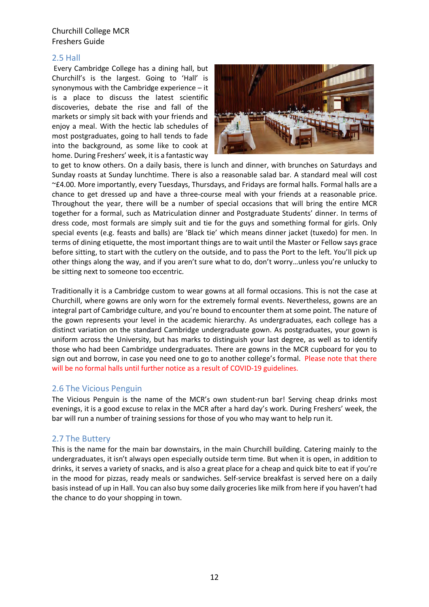#### 2.5 Hall

Every Cambridge College has a dining hall, but Churchill's is the largest. Going to 'Hall' is synonymous with the Cambridge experience – it is a place to discuss the latest scientific discoveries, debate the rise and fall of the markets or simply sit back with your friends and enjoy a meal. With the hectic lab schedules of most postgraduates, going to hall tends to fade into the background, as some like to cook at home. During Freshers' week, it is a fantastic way



to get to know others. On a daily basis, there is lunch and dinner, with brunches on Saturdays and Sunday roasts at Sunday lunchtime. There is also a reasonable salad bar. A standard meal will cost ~£4.00. More importantly, every Tuesdays, Thursdays, and Fridays are formal halls. Formal halls are a chance to get dressed up and have a three-course meal with your friends at a reasonable price. Throughout the year, there will be a number of special occasions that will bring the entire MCR together for a formal, such as Matriculation dinner and Postgraduate Students' dinner. In terms of dress code, most formals are simply suit and tie for the guys and something formal for girls. Only special events (e.g. feasts and balls) are 'Black tie' which means dinner jacket (tuxedo) for men. In terms of dining etiquette, the most important things are to wait until the Master or Fellow says grace before sitting, to start with the cutlery on the outside, and to pass the Port to the left. You'll pick up other things along the way, and if you aren't sure what to do, don't worry…unless you're unlucky to be sitting next to someone too eccentric.

Traditionally it is a Cambridge custom to wear gowns at all formal occasions. This is not the case at Churchill, where gowns are only worn for the extremely formal events. Nevertheless, gowns are an integral part of Cambridge culture, and you're bound to encounter them at some point. The nature of the gown represents your level in the academic hierarchy. As undergraduates, each college has a distinct variation on the standard Cambridge undergraduate gown. As postgraduates, your gown is uniform across the University, but has marks to distinguish your last degree, as well as to identify those who had been Cambridge undergraduates. There are gowns in the MCR cupboard for you to sign out and borrow, in case you need one to go to another college's formal. Please note that there will be no formal halls until further notice as a result of COVID-19 guidelines.

#### 2.6 The Vicious Penguin

The Vicious Penguin is the name of the MCR's own student-run bar! Serving cheap drinks most evenings, it is a good excuse to relax in the MCR after a hard day's work. During Freshers' week, the bar will run a number of training sessions for those of you who may want to help run it.

#### 2.7 The Buttery

This is the name for the main bar downstairs, in the main Churchill building. Catering mainly to the undergraduates, it isn't always open especially outside term time. But when it is open, in addition to drinks, it serves a variety of snacks, and is also a great place for a cheap and quick bite to eat if you're in the mood for pizzas, ready meals or sandwiches. Self-service breakfast is served here on a daily basis instead of up in Hall. You can also buy some daily groceries like milk from here if you haven't had the chance to do your shopping in town.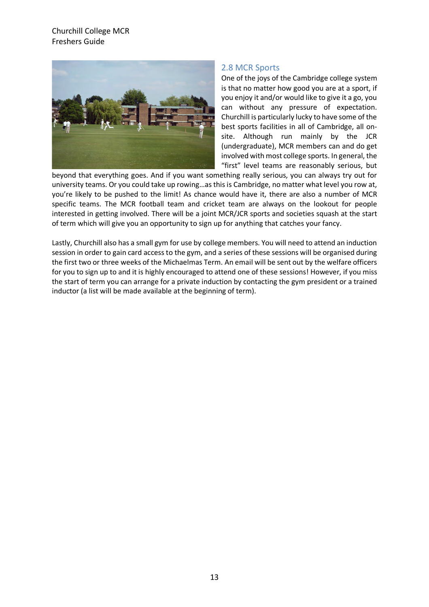

#### 2.8 MCR Sports

One of the joys of the Cambridge college system is that no matter how good you are at a sport, if you enjoy it and/or would like to give it a go, you can without any pressure of expectation. Churchill is particularly lucky to have some of the best sports facilities in all of Cambridge, all onsite. Although run mainly by the JCR (undergraduate), MCR members can and do get involved with most college sports. In general, the "first" level teams are reasonably serious, but

beyond that everything goes. And if you want something really serious, you can always try out for university teams. Or you could take up rowing…as this is Cambridge, no matter what level you row at, you're likely to be pushed to the limit! As chance would have it, there are also a number of MCR specific teams. The MCR football team and cricket team are always on the lookout for people interested in getting involved. There will be a joint MCR/JCR sports and societies squash at the start of term which will give you an opportunity to sign up for anything that catches your fancy.

Lastly, Churchill also has a small gym for use by college members. You will need to attend an induction session in order to gain card access to the gym, and a series of these sessions will be organised during the first two or three weeks of the Michaelmas Term. An email will be sent out by the welfare officers for you to sign up to and it is highly encouraged to attend one of these sessions! However, if you miss the start of term you can arrange for a private induction by contacting the gym president or a trained inductor (a list will be made available at the beginning of term).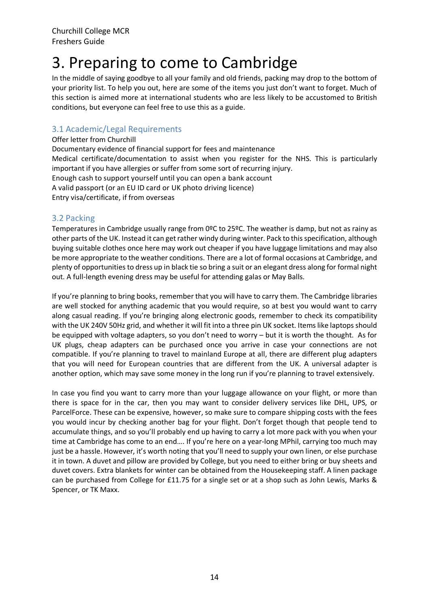### 3. Preparing to come to Cambridge

In the middle of saying goodbye to all your family and old friends, packing may drop to the bottom of your priority list. To help you out, here are some of the items you just don't want to forget. Much of this section is aimed more at international students who are less likely to be accustomed to British conditions, but everyone can feel free to use this as a guide.

#### 3.1 Academic/Legal Requirements

Offer letter from Churchill Documentary evidence of financial support for fees and maintenance Medical certificate/documentation to assist when you register for the NHS. This is particularly important if you have allergies or suffer from some sort of recurring injury. Enough cash to support yourself until you can open a bank account A valid passport (or an EU ID card or UK photo driving licence)

Entry visa/certificate, if from overseas

#### 3.2 Packing

Temperatures in Cambridge usually range from 0ºC to 25ºC. The weather is damp, but not as rainy as other parts of the UK. Instead it can get rather windy during winter. Pack to thisspecification, although buying suitable clothes once here may work out cheaper if you have luggage limitations and may also be more appropriate to the weather conditions. There are a lot of formal occasions at Cambridge, and plenty of opportunities to dress up in black tie so bring a suit or an elegant dress along for formal night out. A full-length evening dress may be useful for attending galas or May Balls.

If you're planning to bring books, remember that you will have to carry them. The Cambridge libraries are well stocked for anything academic that you would require, so at best you would want to carry along casual reading. If you're bringing along electronic goods, remember to check its compatibility with the UK 240V 50Hz grid, and whether it will fit into a three pin UK socket. Items like laptops should be equipped with voltage adapters, so you don't need to worry – but it is worth the thought. As for UK plugs, cheap adapters can be purchased once you arrive in case your connections are not compatible. If you're planning to travel to mainland Europe at all, there are different plug adapters that you will need for European countries that are different from the UK. A universal adapter is another option, which may save some money in the long run if you're planning to travel extensively.

In case you find you want to carry more than your luggage allowance on your flight, or more than there is space for in the car, then you may want to consider delivery services like DHL, UPS, or ParcelForce. These can be expensive, however, so make sure to compare shipping costs with the fees you would incur by checking another bag for your flight. Don't forget though that people tend to accumulate things, and so you'll probably end up having to carry a lot more pack with you when your time at Cambridge has come to an end…. If you're here on a year-long MPhil, carrying too much may just be a hassle. However, it's worth noting that you'll need to supply your own linen, or else purchase it in town. A duvet and pillow are provided by College, but you need to either bring or buy sheets and duvet covers. Extra blankets for winter can be obtained from the Housekeeping staff. A linen package can be purchased from College for £11.75 for a single set or at a shop such as John Lewis, Marks & Spencer, or TK Maxx.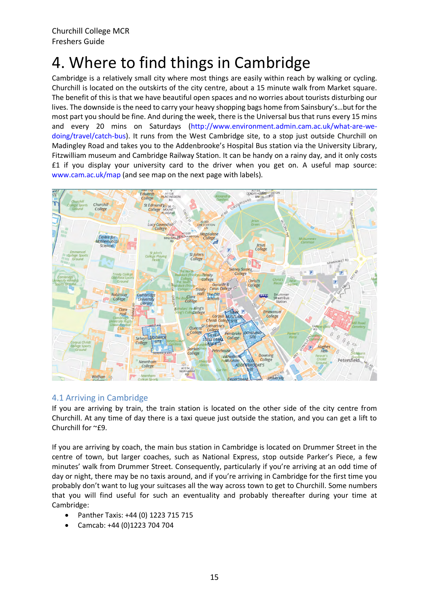## 4. Where to find things in Cambridge

Cambridge is a relatively small city where most things are easily within reach by walking or cycling. Churchill is located on the outskirts of the city centre, about a 15 minute walk from Market square. The benefit of this is that we have beautiful open spaces and no worries about tourists disturbing our lives. The downside is the need to carry your heavy shopping bags home from Sainsbury's…but for the most part you should be fine. And during the week, there is the Universal bus that runs every 15 mins and every 20 mins on Saturdays (http://www.environment.admin.cam.ac.uk/what-are-wedoing/travel/catch-bus). It runs from the West Cambridge site, to a stop just outside Churchill on Madingley Road and takes you to the Addenbrooke's Hospital Bus station via the University Library, Fitzwilliam museum and Cambridge Railway Station. It can be handy on a rainy day, and it only costs £1 if you display your university card to the driver when you get on. A useful map source: www.cam.ac.uk/map (and see map on the next page with labels).



#### 4.1 Arriving in Cambridge

If you are arriving by train, the train station is located on the other side of the city centre from Churchill. At any time of day there is a taxi queue just outside the station, and you can get a lift to Churchill for ~£9.

If you are arriving by coach, the main bus station in Cambridge is located on Drummer Street in the centre of town, but larger coaches, such as National Express, stop outside Parker's Piece, a few minutes' walk from Drummer Street. Consequently, particularly if you're arriving at an odd time of day or night, there may be no taxis around, and if you're arriving in Cambridge for the first time you probably don't want to lug your suitcases all the way across town to get to Churchill. Some numbers that you will find useful for such an eventuality and probably thereafter during your time at Cambridge:

- Panther Taxis: +44 (0) 1223 715 715
- Camcab: +44 (0)1223 704 704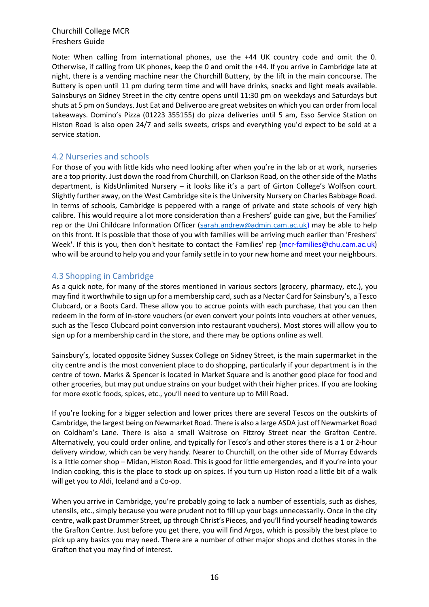Note: When calling from international phones, use the +44 UK country code and omit the 0. Otherwise, if calling from UK phones, keep the 0 and omit the +44. If you arrive in Cambridge late at night, there is a vending machine near the Churchill Buttery, by the lift in the main concourse. The Buttery is open until 11 pm during term time and will have drinks, snacks and light meals available. Sainsburys on Sidney Street in the city centre opens until 11:30 pm on weekdays and Saturdays but shuts at 5 pm on Sundays. Just Eat and Deliveroo are great websites on which you can order from local takeaways. Domino's Pizza (01223 355155) do pizza deliveries until 5 am, Esso Service Station on Histon Road is also open 24/7 and sells sweets, crisps and everything you'd expect to be sold at a service station.

#### 4.2 Nurseries and schools

For those of you with little kids who need looking after when you're in the lab or at work, nurseries are a top priority. Just down the road from Churchill, on Clarkson Road, on the other side of the Maths department, is KidsUnlimited Nursery – it looks like it's a part of Girton College's Wolfson court. Slightly further away, on the West Cambridge site is the University Nursery on Charles Babbage Road. In terms of schools, Cambridge is peppered with a range of private and state schools of very high calibre. This would require a lot more consideration than a Freshers' guide can give, but the Families' rep or the Uni Childcare Information Officer (sarah.andrew@admin.cam.ac.uk) may be able to help on this front. It is possible that those of you with families will be arriving much earlier than 'Freshers' Week'. If this is you, then don't hesitate to contact the Families' rep (mcr-families@chu.cam.ac.uk) who will be around to help you and your family settle in to your new home and meet your neighbours.

#### 4.3 Shopping in Cambridge

As a quick note, for many of the stores mentioned in various sectors (grocery, pharmacy, etc.), you may find it worthwhile to sign up for a membership card, such as a Nectar Card for Sainsbury's, a Tesco Clubcard, or a Boots Card. These allow you to accrue points with each purchase, that you can then redeem in the form of in-store vouchers (or even convert your points into vouchers at other venues, such as the Tesco Clubcard point conversion into restaurant vouchers). Most stores will allow you to sign up for a membership card in the store, and there may be options online as well.

Sainsbury's, located opposite Sidney Sussex College on Sidney Street, is the main supermarket in the city centre and is the most convenient place to do shopping, particularly if your department is in the centre of town. Marks & Spencer is located in Market Square and is another good place for food and other groceries, but may put undue strains on your budget with their higher prices. If you are looking for more exotic foods, spices, etc., you'll need to venture up to Mill Road.

If you're looking for a bigger selection and lower prices there are several Tescos on the outskirts of Cambridge, the largest being on Newmarket Road. There is also a large ASDA just off Newmarket Road on Coldham's Lane. There is also a small Waitrose on Fitzroy Street near the Grafton Centre. Alternatively, you could order online, and typically for Tesco's and other stores there is a 1 or 2-hour delivery window, which can be very handy. Nearer to Churchill, on the other side of Murray Edwards is a little corner shop – Midan, Histon Road. This is good for little emergencies, and if you're into your Indian cooking, this is the place to stock up on spices. If you turn up Histon road a little bit of a walk will get you to Aldi, Iceland and a Co-op.

When you arrive in Cambridge, you're probably going to lack a number of essentials, such as dishes, utensils, etc., simply because you were prudent not to fill up your bags unnecessarily. Once in the city centre, walk past Drummer Street, up through Christ's Pieces, and you'll find yourself heading towards the Grafton Centre. Just before you get there, you will find Argos, which is possibly the best place to pick up any basics you may need. There are a number of other major shops and clothes stores in the Grafton that you may find of interest.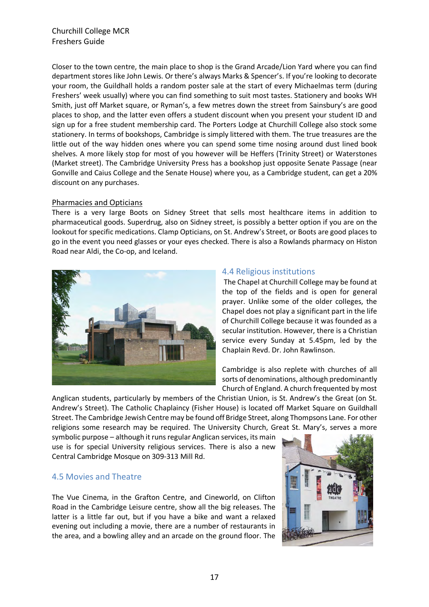Closer to the town centre, the main place to shop is the Grand Arcade/Lion Yard where you can find department stores like John Lewis. Or there's always Marks & Spencer's. If you're looking to decorate your room, the Guildhall holds a random poster sale at the start of every Michaelmas term (during Freshers' week usually) where you can find something to suit most tastes. Stationery and books WH Smith, just off Market square, or Ryman's, a few metres down the street from Sainsbury's are good places to shop, and the latter even offers a student discount when you present your student ID and sign up for a free student membership card. The Porters Lodge at Churchill College also stock some stationery. In terms of bookshops, Cambridge is simply littered with them. The true treasures are the little out of the way hidden ones where you can spend some time nosing around dust lined book shelves. A more likely stop for most of you however will be Heffers (Trinity Street) or Waterstones (Market street). The Cambridge University Press has a bookshop just opposite Senate Passage (near Gonville and Caius College and the Senate House) where you, as a Cambridge student, can get a 20% discount on any purchases.

#### Pharmacies and Opticians

There is a very large Boots on Sidney Street that sells most healthcare items in addition to pharmaceutical goods. Superdrug, also on Sidney street, is possibly a better option if you are on the lookout for specific medications. Clamp Opticians, on St. Andrew's Street, or Boots are good places to go in the event you need glasses or your eyes checked. There is also a Rowlands pharmacy on Histon Road near Aldi, the Co-op, and Iceland.



#### 4.4 Religious institutions

The Chapel at Churchill College may be found at the top of the fields and is open for general prayer. Unlike some of the older colleges, the Chapel does not play a significant part in the life of Churchill College because it was founded as a secular institution. However, there is a Christian service every Sunday at 5.45pm, led by the Chaplain Revd. Dr. John Rawlinson.

Cambridge is also replete with churches of all sorts of denominations, although predominantly Church of England. A church frequented by most

Anglican students, particularly by members of the Christian Union, is St. Andrew's the Great (on St. Andrew's Street). The Catholic Chaplaincy (Fisher House) is located off Market Square on Guildhall Street. The Cambridge Jewish Centre may be found off Bridge Street, along Thompsons Lane. For other religions some research may be required. The University Church, Great St. Mary's, serves a more

symbolic purpose – although it runs regular Anglican services, its main use is for special University religious services. There is also a new Central Cambridge Mosque on 309-313 Mill Rd.

#### 4.5 Movies and Theatre

The Vue Cinema, in the Grafton Centre, and Cineworld, on Clifton Road in the Cambridge Leisure centre, show all the big releases. The latter is a little far out, but if you have a bike and want a relaxed evening out including a movie, there are a number of restaurants in the area, and a bowling alley and an arcade on the ground floor. The

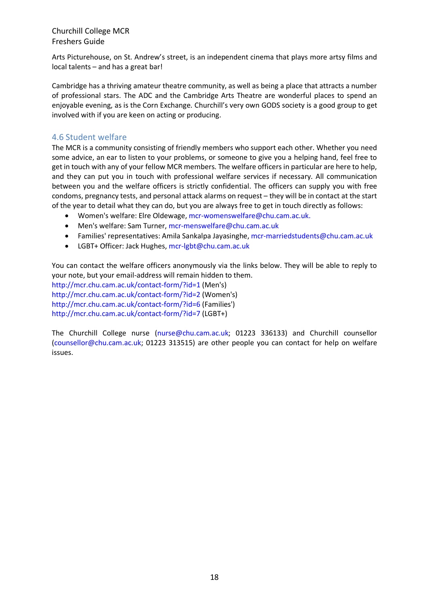Arts Picturehouse, on St. Andrew's street, is an independent cinema that plays more artsy films and local talents – and has a great bar!

Cambridge has a thriving amateur theatre community, as well as being a place that attracts a number of professional stars. The ADC and the Cambridge Arts Theatre are wonderful places to spend an enjoyable evening, as is the Corn Exchange. Churchill's very own GODS society is a good group to get involved with if you are keen on acting or producing.

#### 4.6 Student welfare

The MCR is a community consisting of friendly members who support each other. Whether you need some advice, an ear to listen to your problems, or someone to give you a helping hand, feel free to get in touch with any of your fellow MCR members. The welfare officers in particular are here to help, and they can put you in touch with professional welfare services if necessary. All communication between you and the welfare officers is strictly confidential. The officers can supply you with free condoms, pregnancy tests, and personal attack alarms on request – they will be in contact at the start of the year to detail what they can do, but you are always free to get in touch directly as follows:

- Women's welfare: Elre Oldewage, mcr-womenswelfare@chu.cam.ac.uk.
- Men's welfare: Sam Turner, mcr-menswelfare@chu.cam.ac.uk
- Families' representatives: Amila Sankalpa Jayasinghe, mcr-marriedstudents@chu.cam.ac.uk
- LGBT+ Officer: Jack Hughes, mcr-lgbt@chu.cam.ac.uk

You can contact the welfare officers anonymously via the links below. They will be able to reply to your note, but your email-address will remain hidden to them. http://mcr.chu.cam.ac.uk/contact-form/?id=1 (Men's) http://mcr.chu.cam.ac.uk/contact-form/?id=2 (Women's)

http://mcr.chu.cam.ac.uk/contact-form/?id=6 (Families')

http://mcr.chu.cam.ac.uk/contact-form/?id=7 (LGBT+)

The Churchill College nurse (nurse@chu.cam.ac.uk; 01223 336133) and Churchill counsellor (counsellor@chu.cam.ac.uk; 01223 313515) are other people you can contact for help on welfare issues.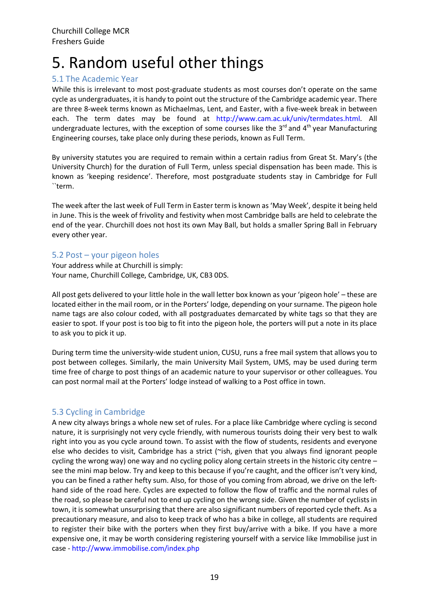### 5. Random useful other things

#### 5.1 The Academic Year

While this is irrelevant to most post-graduate students as most courses don't operate on the same cycle as undergraduates, it is handy to point out the structure of the Cambridge academic year. There are three 8-week terms known as Michaelmas, Lent, and Easter, with a five-week break in between each. The term dates may be found at http://www.cam.ac.uk/univ/termdates.html. All undergraduate lectures, with the exception of some courses like the  $3<sup>rd</sup>$  and  $4<sup>th</sup>$  year Manufacturing Engineering courses, take place only during these periods, known as Full Term.

By university statutes you are required to remain within a certain radius from Great St. Mary's (the University Church) for the duration of Full Term, unless special dispensation has been made. This is known as 'keeping residence'. Therefore, most postgraduate students stay in Cambridge for Full ``term.

The week after the last week of Full Term in Easter term is known as 'May Week', despite it being held in June. This is the week of frivolity and festivity when most Cambridge balls are held to celebrate the end of the year. Churchill does not host its own May Ball, but holds a smaller Spring Ball in February every other year.

#### 5.2 Post – your pigeon holes

Your address while at Churchill is simply: Your name, Churchill College, Cambridge, UK, CB3 0DS.

All post gets delivered to your little hole in the wall letter box known as your 'pigeon hole' – these are located either in the mail room, or in the Porters' lodge, depending on yoursurname. The pigeon hole name tags are also colour coded, with all postgraduates demarcated by white tags so that they are easier to spot. If your post is too big to fit into the pigeon hole, the porters will put a note in its place to ask you to pick it up.

During term time the university-wide student union, CUSU, runs a free mail system that allows you to post between colleges. Similarly, the main University Mail System, UMS, may be used during term time free of charge to post things of an academic nature to your supervisor or other colleagues. You can post normal mail at the Porters' lodge instead of walking to a Post office in town.

#### 5.3 Cycling in Cambridge

A new city always brings a whole new set of rules. For a place like Cambridge where cycling is second nature, it is surprisingly not very cycle friendly, with numerous tourists doing their very best to walk right into you as you cycle around town. To assist with the flow of students, residents and everyone else who decides to visit, Cambridge has a strict (~ish, given that you always find ignorant people cycling the wrong way) one way and no cycling policy along certain streets in the historic city centre – see the mini map below. Try and keep to this because if you're caught, and the officer isn't very kind, you can be fined a rather hefty sum. Also, for those of you coming from abroad, we drive on the lefthand side of the road here. Cycles are expected to follow the flow of traffic and the normal rules of the road, so please be careful not to end up cycling on the wrong side. Given the number of cyclists in town, it is somewhat unsurprising that there are also significant numbers of reported cycle theft. As a precautionary measure, and also to keep track of who has a bike in college, all students are required to register their bike with the porters when they first buy/arrive with a bike. If you have a more expensive one, it may be worth considering registering yourself with a service like Immobilise just in case - http://www.immobilise.com/index.php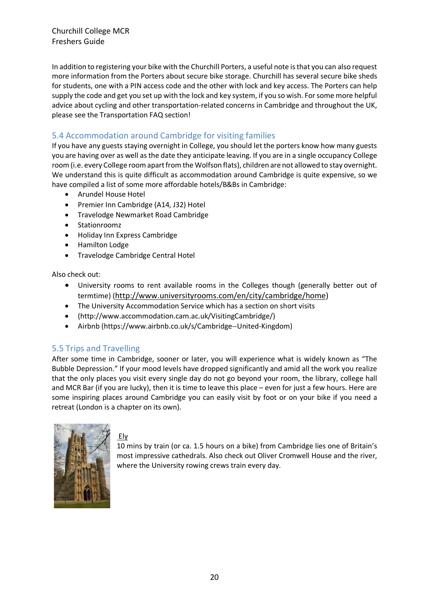In addition to registering your bike with the Churchill Porters, a useful note is that you can also request more information from the Porters about secure bike storage. Churchill has several secure bike sheds for students, one with a PIN access code and the other with lock and key access. The Porters can help supply the code and get you set up with the lock and key system, if you so wish. For some more helpful advice about cycling and other transportation-related concerns in Cambridge and throughout the UK, please see the Transportation FAQ section!

#### 5.4 Accommodation around Cambridge for visiting families

If you have any guests staying overnight in College, you should let the porters know how many guests you are having over as well as the date they anticipate leaving. If you are in a single occupancy College room (i.e. every College room apart from the Wolfson flats), children are not allowed to stay overnight. We understand this is quite difficult as accommodation around Cambridge is quite expensive, so we have compiled a list of some more affordable hotels/B&Bs in Cambridge:

- Arundel House Hotel
- Premier Inn Cambridge (A14, J32) Hotel
- Travelodge Newmarket Road Cambridge
- Stationroomz
- Holiday Inn Express Cambridge
- Hamilton Lodge
- Travelodge Cambridge Central Hotel

Also check out:

- University rooms to rent available rooms in the Colleges though (generally better out of termtime) (http://www.universityrooms.com/en/city/cambridge/home)
- The University Accommodation Service which has a section on short visits
- (http://www.accommodation.cam.ac.uk/VisitingCambridge/)
- Airbnb (https://www.airbnb.co.uk/s/Cambridge--United-Kingdom)

#### 5.5 Trips and Travelling

After some time in Cambridge, sooner or later, you will experience what is widely known as "The Bubble Depression." If your mood levels have dropped significantly and amid all the work you realize that the only places you visit every single day do not go beyond your room, the library, college hall and MCR Bar (if you are lucky), then it is time to leave this place – even for just a few hours. Here are some inspiring places around Cambridge you can easily visit by foot or on your bike if you need a retreat (London is a chapter on its own).



#### Ely

10 mins by train (or ca. 1.5 hours on a bike) from Cambridge lies one of Britain's most impressive cathedrals. Also check out Oliver Cromwell House and the river, where the University rowing crews train every day.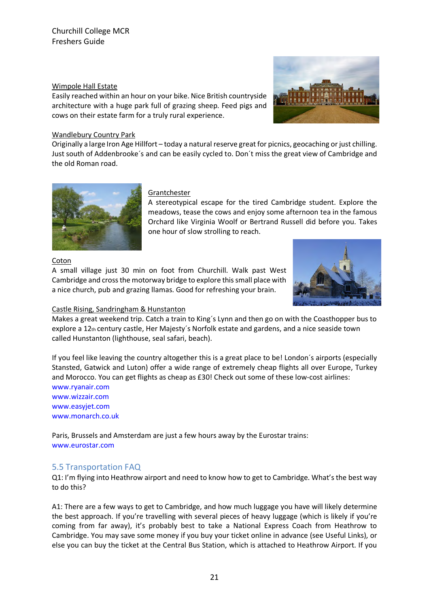#### Wimpole Hall Estate

Easily reached within an hour on your bike. Nice British countryside architecture with a huge park full of grazing sheep. Feed pigs and cows on their estate farm for a truly rural experience.



Originally a large Iron Age Hillfort – today a natural reserve great for picnics, geocaching or just chilling. Just south of Addenbrooke´s and can be easily cycled to. Don´t miss the great view of Cambridge and the old Roman road.



#### Grantchester

A stereotypical escape for the tired Cambridge student. Explore the meadows, tease the cows and enjoy some afternoon tea in the famous Orchard like Virginia Woolf or Bertrand Russell did before you. Takes one hour of slow strolling to reach.

#### Coton

A small village just 30 min on foot from Churchill. Walk past West Cambridge and cross the motorway bridge to explore this small place with a nice church, pub and grazing llamas. Good for refreshing your brain.



#### Castle Rising, Sandringham & Hunstanton

Makes a great weekend trip. Catch a train to King´s Lynn and then go on with the Coasthopper bus to explore a 12th century castle, Her Majesty´s Norfolk estate and gardens, and a nice seaside town called Hunstanton (lighthouse, seal safari, beach).

If you feel like leaving the country altogether this is a great place to be! London´s airports (especially Stansted, Gatwick and Luton) offer a wide range of extremely cheap flights all over Europe, Turkey and Morocco. You can get flights as cheap as £30! Check out some of these low-cost airlines: www.ryanair.com

www.wizzair.com www.easyjet.com www.monarch.co.uk

Paris, Brussels and Amsterdam are just a few hours away by the Eurostar trains: www.eurostar.com

#### 5.5 Transportation FAQ

Q1: I'm flying into Heathrow airport and need to know how to get to Cambridge. What's the best way to do this?

A1: There are a few ways to get to Cambridge, and how much luggage you have will likely determine the best approach. If you're travelling with several pieces of heavy luggage (which is likely if you're coming from far away), it's probably best to take a National Express Coach from Heathrow to Cambridge. You may save some money if you buy your ticket online in advance (see Useful Links), or else you can buy the ticket at the Central Bus Station, which is attached to Heathrow Airport. If you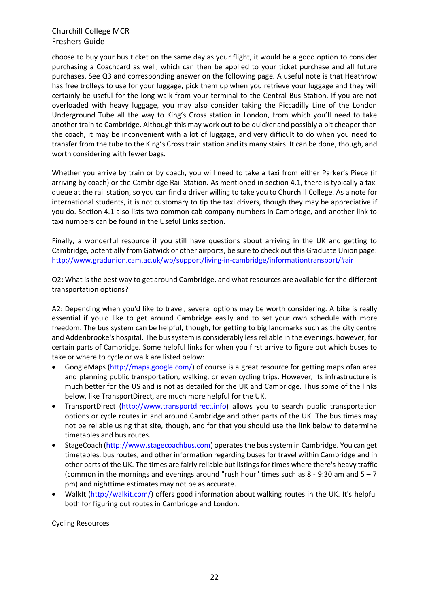choose to buy your bus ticket on the same day as your flight, it would be a good option to consider purchasing a Coachcard as well, which can then be applied to your ticket purchase and all future purchases. See Q3 and corresponding answer on the following page. A useful note is that Heathrow has free trolleys to use for your luggage, pick them up when you retrieve your luggage and they will certainly be useful for the long walk from your terminal to the Central Bus Station. If you are not overloaded with heavy luggage, you may also consider taking the Piccadilly Line of the London Underground Tube all the way to King's Cross station in London, from which you'll need to take another train to Cambridge. Although this may work out to be quicker and possibly a bit cheaper than the coach, it may be inconvenient with a lot of luggage, and very difficult to do when you need to transfer from the tube to the King's Crosstrain station and its many stairs. It can be done, though, and worth considering with fewer bags.

Whether you arrive by train or by coach, you will need to take a taxi from either Parker's Piece (if arriving by coach) or the Cambridge Rail Station. As mentioned in section 4.1, there is typically a taxi queue at the rail station, so you can find a driver willing to take you to Churchill College. As a note for international students, it is not customary to tip the taxi drivers, though they may be appreciative if you do. Section 4.1 also lists two common cab company numbers in Cambridge, and another link to taxi numbers can be found in the Useful Links section.

Finally, a wonderful resource if you still have questions about arriving in the UK and getting to Cambridge, potentially from Gatwick or other airports, be sure to check out this Graduate Union page: http://www.gradunion.cam.ac.uk/wp/support/living-in-cambridge/informationtransport/#air

Q2: What is the best way to get around Cambridge, and what resources are available for the different transportation options?

A2: Depending when you'd like to travel, several options may be worth considering. A bike is really essential if you'd like to get around Cambridge easily and to set your own schedule with more freedom. The bus system can be helpful, though, for getting to big landmarks such as the city centre and Addenbrooke's hospital. The bus system is considerably less reliable in the evenings, however, for certain parts of Cambridge. Some helpful links for when you first arrive to figure out which buses to take or where to cycle or walk are listed below:

- GoogleMaps (http://maps.google.com/) of course is a great resource for getting maps ofan area and planning public transportation, walking, or even cycling trips. However, its infrastructure is much better for the US and is not as detailed for the UK and Cambridge. Thus some of the links below, like TransportDirect, are much more helpful for the UK.
- TransportDirect (http://www.transportdirect.info) allows you to search public transportation options or cycle routes in and around Cambridge and other parts of the UK. The bus times may not be reliable using that site, though, and for that you should use the link below to determine timetables and bus routes.
- StageCoach (http://www.stagecoachbus.com) operates the bus system in Cambridge. You can get timetables, bus routes, and other information regarding buses for travel within Cambridge and in other parts of the UK. The times are fairly reliable but listings for times where there's heavy traffic (common in the mornings and evenings around "rush hour" times such as  $8 - 9:30$  am and  $5 - 7$ pm) and nighttime estimates may not be as accurate.
- WalkIt (http://walkit.com/) offers good information about walking routes in the UK. It's helpful both for figuring out routes in Cambridge and London.

Cycling Resources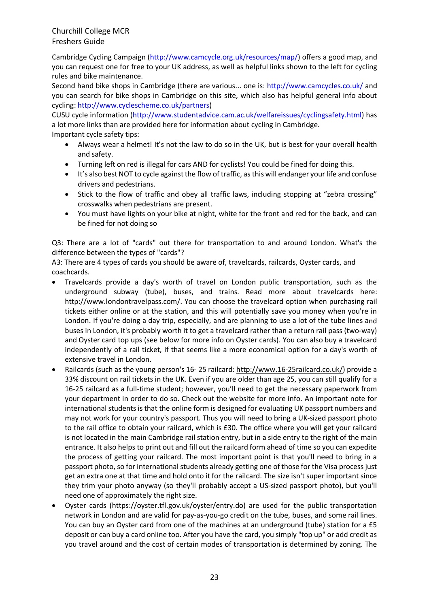Cambridge Cycling Campaign (http://www.camcycle.org.uk/resources/map/) offers a good map, and you can request one for free to your UK address, as well as helpful links shown to the left for cycling rules and bike maintenance.

Second hand bike shops in Cambridge (there are various... one is: http://www.camcycles.co.uk/ and you can search for bike shops in Cambridge on this site, which also has helpful general info about cycling: http://www.cyclescheme.co.uk/partners)

CUSU cycle information (http://www.studentadvice.cam.ac.uk/welfareissues/cyclingsafety.html) has a lot more links than are provided here for information about cycling in Cambridge. Important cycle safety tips:

- Always wear a helmet! It's not the law to do so in the UK, but is best for your overall health and safety.
- Turning left on red is illegal for cars AND for cyclists! You could be fined for doing this.
- It's also best NOT to cycle against the flow of traffic, as this will endanger your life and confuse drivers and pedestrians.
- Stick to the flow of traffic and obey all traffic laws, including stopping at "zebra crossing" crosswalks when pedestrians are present.
- You must have lights on your bike at night, white for the front and red for the back, and can be fined for not doing so

Q3: There are a lot of "cards" out there for transportation to and around London. What's the difference between the types of "cards"?

A3: There are 4 types of cards you should be aware of, travelcards, railcards, Oyster cards, and coachcards.

- Travelcards provide a day's worth of travel on London public transportation, such as the underground subway (tube), buses, and trains. Read more about travelcards here: http://www.londontravelpass.com/. You can choose the travelcard option when purchasing rail tickets either online or at the station, and this will potentially save you money when you're in London. If you're doing a day trip, especially, and are planning to use a lot of the tube lines and buses in London, it's probably worth it to get a travelcard rather than a return rail pass (two-way) and Oyster card top ups (see below for more info on Oyster cards). You can also buy a travelcard independently of a rail ticket, if that seems like a more economical option for a day's worth of extensive travel in London.
- Railcards (such as the young person's 16- 25 railcard: http://www.16-25railcard.co.uk/) provide a 33% discount on rail tickets in the UK. Even if you are older than age 25, you can still qualify for a 16-25 railcard as a full-time student; however, you'll need to get the necessary paperwork from your department in order to do so. Check out the website for more info. An important note for international students is that the online form is designed for evaluating UK passport numbers and may not work for your country's passport. Thus you will need to bring a UK-sized passport photo to the rail office to obtain your railcard, which is £30. The office where you will get your railcard is not located in the main Cambridge rail station entry, but in a side entry to the right of the main entrance. It also helps to print out and fill out the railcard form ahead of time so you can expedite the process of getting your railcard. The most important point is that you'll need to bring in a passport photo, so for international students already getting one of those for the Visa process just get an extra one at that time and hold onto it for the railcard. The size isn't super important since they trim your photo anyway (so they'll probably accept a US-sized passport photo), but you'll need one of approximately the right size.
- Oyster cards (https://oyster.tfl.gov.uk/oyster/entry.do) are used for the public transportation network in London and are valid for pay-as-you-go credit on the tube, buses, and some rail lines. You can buy an Oyster card from one of the machines at an underground (tube) station for a £5 deposit or can buy a card online too. After you have the card, you simply "top up" or add credit as you travel around and the cost of certain modes of transportation is determined by zoning. The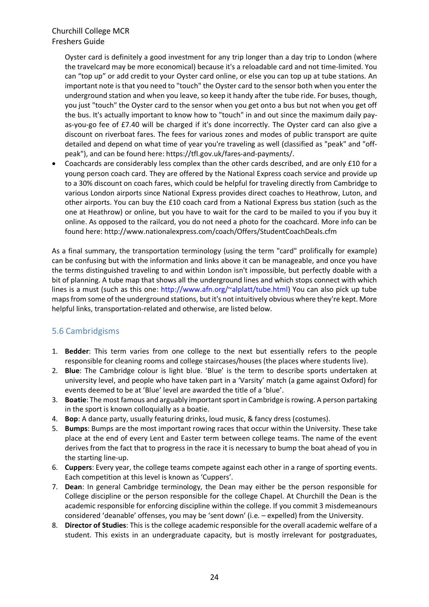Oyster card is definitely a good investment for any trip longer than a day trip to London (where the travelcard may be more economical) because it's a reloadable card and not time-limited. You can "top up" or add credit to your Oyster card online, or else you can top up at tube stations. An important note is that you need to "touch" the Oyster card to the sensor both when you enter the underground station and when you leave, so keep it handy after the tube ride. For buses, though, you just "touch" the Oyster card to the sensor when you get onto a bus but not when you get off the bus. It's actually important to know how to "touch" in and out since the maximum daily payas-you-go fee of £7.40 will be charged if it's done incorrectly. The Oyster card can also give a discount on riverboat fares. The fees for various zones and modes of public transport are quite detailed and depend on what time of year you're traveling as well (classified as "peak" and "offpeak"), and can be found here: https://tfl.gov.uk/fares-and-payments/.

• Coachcards are considerably less complex than the other cards described, and are only £10 for a young person coach card. They are offered by the National Express coach service and provide up to a 30% discount on coach fares, which could be helpful for traveling directly from Cambridge to various London airports since National Express provides direct coaches to Heathrow, Luton, and other airports. You can buy the £10 coach card from a National Express bus station (such as the one at Heathrow) or online, but you have to wait for the card to be mailed to you if you buy it online. As opposed to the railcard, you do not need a photo for the coachcard. More info can be found here: http://www.nationalexpress.com/coach/Offers/StudentCoachDeals.cfm

As a final summary, the transportation terminology (using the term "card" prolifically for example) can be confusing but with the information and links above it can be manageable, and once you have the terms distinguished traveling to and within London isn't impossible, but perfectly doable with a bit of planning. A tube map that shows all the underground lines and which stops connect with which lines is a must (such as this one: http://www.afn.org/~alplatt/tube.html) You can also pick up tube maps from some of the underground stations, but it's not intuitively obvious where they're kept. More helpful links, transportation-related and otherwise, are listed below.

#### 5.6 Cambridgisms

- 1. **Bedder**: This term varies from one college to the next but essentially refers to the people responsible for cleaning rooms and college staircases/houses (the places where students live).
- 2. **Blue**: The Cambridge colour is light blue. 'Blue' is the term to describe sports undertaken at university level, and people who have taken part in a 'Varsity' match (a game against Oxford) for events deemed to be at 'Blue' level are awarded the title of a 'blue'.
- 3. **Boatie**: The most famous and arguably important sport in Cambridge is rowing. A person partaking in the sport is known colloquially as a boatie.
- 4. **Bop**: A dance party, usually featuring drinks, loud music, & fancy dress (costumes).
- 5. **Bumps**: Bumps are the most important rowing races that occur within the University. These take place at the end of every Lent and Easter term between college teams. The name of the event derives from the fact that to progress in the race it is necessary to bump the boat ahead of you in the starting line-up.
- 6. **Cuppers**: Every year, the college teams compete against each other in a range of sporting events. Each competition at this level is known as 'Cuppers'.
- 7. **Dean**: In general Cambridge terminology, the Dean may either be the person responsible for College discipline or the person responsible for the college Chapel. At Churchill the Dean is the academic responsible for enforcing discipline within the college. If you commit 3 misdemeanours considered 'deanable' offenses, you may be 'sent down' (i.e. – expelled) from the University.
- 8. **Director of Studies**: This is the college academic responsible for the overall academic welfare of a student. This exists in an undergraduate capacity, but is mostly irrelevant for postgraduates,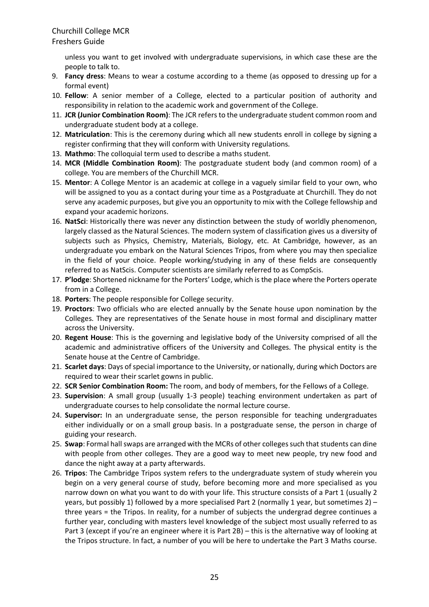#### Freshers Guide

unless you want to get involved with undergraduate supervisions, in which case these are the people to talk to.

- 9. **Fancy dress**: Means to wear a costume according to a theme (as opposed to dressing up for a formal event)
- 10. **Fellow**: A senior member of a College, elected to a particular position of authority and responsibility in relation to the academic work and government of the College.
- 11. **JCR (Junior Combination Room)**: The JCR refers to the undergraduate student common room and undergraduate student body at a college.
- 12. **Matriculation**: This is the ceremony during which all new students enroll in college by signing a register confirming that they will conform with University regulations.
- 13. **Mathmo**: The colloquial term used to describe a maths student.
- 14. **MCR (Middle Combination Room)**: The postgraduate student body (and common room) of a college. You are members of the Churchill MCR.
- 15. **Mentor**: A College Mentor is an academic at college in a vaguely similar field to your own, who will be assigned to you as a contact during your time as a Postgraduate at Churchill. They do not serve any academic purposes, but give you an opportunity to mix with the College fellowship and expand your academic horizons.
- 16. **NatSci**: Historically there was never any distinction between the study of worldly phenomenon, largely classed as the Natural Sciences. The modern system of classification gives us a diversity of subjects such as Physics, Chemistry, Materials, Biology, etc. At Cambridge, however, as an undergraduate you embark on the Natural Sciences Tripos, from where you may then specialize in the field of your choice. People working/studying in any of these fields are consequently referred to as NatScis. Computer scientists are similarly referred to as CompScis.
- 17. **P'lodge**: Shortened nickname for the Porters' Lodge, which is the place where the Porters operate from in a College.
- 18. **Porters**: The people responsible for College security.
- 19. **Proctors**: Two officials who are elected annually by the Senate house upon nomination by the Colleges. They are representatives of the Senate house in most formal and disciplinary matter across the University.
- 20. **Regent House**: This is the governing and legislative body of the University comprised of all the academic and administrative officers of the University and Colleges. The physical entity is the Senate house at the Centre of Cambridge.
- 21. **Scarlet days**: Days of special importance to the University, or nationally, during which Doctors are required to wear their scarlet gowns in public.
- 22. **SCR Senior Combination Room:** The room, and body of members, for the Fellows of a College.
- 23. **Supervision**: A small group (usually 1-3 people) teaching environment undertaken as part of undergraduate courses to help consolidate the normal lecture course.
- 24. **Supervisor:** In an undergraduate sense, the person responsible for teaching undergraduates either individually or on a small group basis. In a postgraduate sense, the person in charge of guiding your research.
- 25. **Swap**: Formal hall swaps are arranged with the MCRs of other colleges such that students can dine with people from other colleges. They are a good way to meet new people, try new food and dance the night away at a party afterwards.
- 26. **Tripos**: The Cambridge Tripos system refers to the undergraduate system of study wherein you begin on a very general course of study, before becoming more and more specialised as you narrow down on what you want to do with your life. This structure consists of a Part 1 (usually 2 years, but possibly 1) followed by a more specialised Part 2 (normally 1 year, but sometimes 2) – three years = the Tripos. In reality, for a number of subjects the undergrad degree continues a further year, concluding with masters level knowledge of the subject most usually referred to as Part 3 (except if you're an engineer where it is Part 2B) – this is the alternative way of looking at the Tripos structure. In fact, a number of you will be here to undertake the Part 3 Maths course.